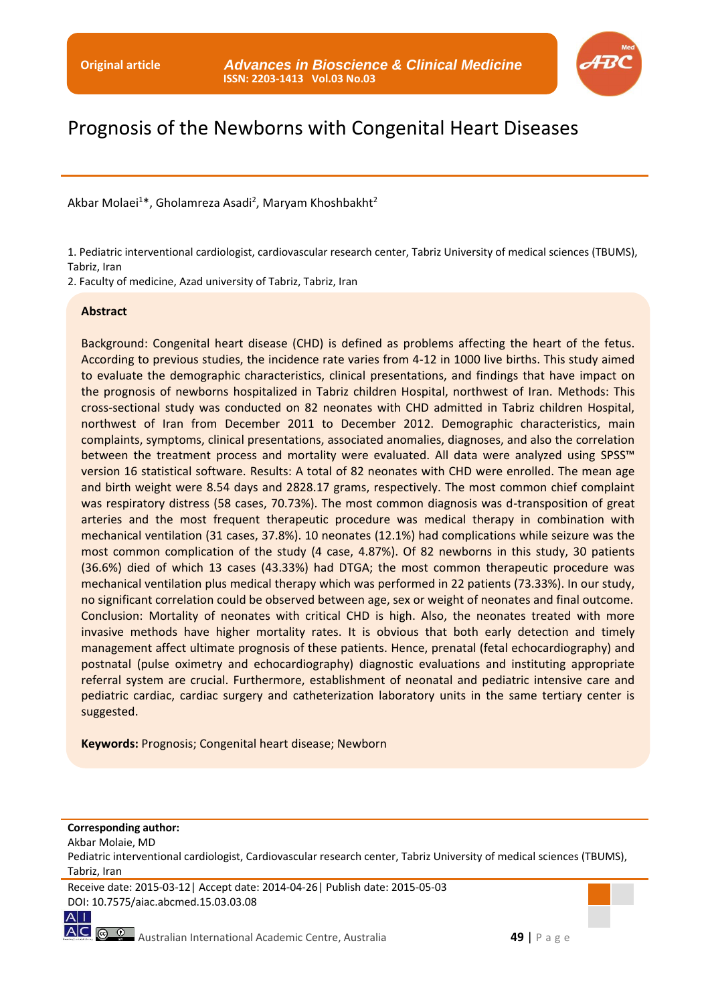

# Prognosis of the Newborns with Congenital Heart Diseases

Akbar Molaei<sup>1\*</sup>, Gholamreza Asadi<sup>2</sup>, Maryam Khoshbakht<sup>2</sup>

1. Pediatric interventional cardiologist, cardiovascular research center, Tabriz University of medical sciences (TBUMS), Tabriz, Iran

2. Faculty of medicine, Azad university of Tabriz, Tabriz, Iran

#### **Abstract**

Background: Congenital heart disease (CHD) is defined as problems affecting the heart of the fetus. According to previous studies, the incidence rate varies from 4-12 in 1000 live births. This study aimed to evaluate the demographic characteristics, clinical presentations, and findings that have impact on the prognosis of newborns hospitalized in Tabriz children Hospital, northwest of Iran. Methods: This cross-sectional study was conducted on 82 neonates with CHD admitted in Tabriz children Hospital, northwest of Iran from December 2011 to December 2012. Demographic characteristics, main complaints, symptoms, clinical presentations, associated anomalies, diagnoses, and also the correlation between the treatment process and mortality were evaluated. All data were analyzed using SPSS<sup>™</sup> version 16 statistical software. Results: A total of 82 neonates with CHD were enrolled. The mean age and birth weight were 8.54 days and 2828.17 grams, respectively. The most common chief complaint was respiratory distress (58 cases, 70.73%). The most common diagnosis was d-transposition of great arteries and the most frequent therapeutic procedure was medical therapy in combination with mechanical ventilation (31 cases, 37.8%). 10 neonates (12.1%) had complications while seizure was the most common complication of the study (4 case, 4.87%). Of 82 newborns in this study, 30 patients (36.6%) died of which 13 cases (43.33%) had DTGA; the most common therapeutic procedure was mechanical ventilation plus medical therapy which was performed in 22 patients (73.33%). In our study, no significant correlation could be observed between age, sex or weight of neonates and final outcome. Conclusion: Mortality of neonates with critical CHD is high. Also, the neonates treated with more invasive methods have higher mortality rates. It is obvious that both early detection and timely management affect ultimate prognosis of these patients. Hence, prenatal (fetal echocardiography) and postnatal (pulse oximetry and echocardiography) diagnostic evaluations and instituting appropriate referral system are crucial. Furthermore, establishment of neonatal and pediatric intensive care and pediatric cardiac, cardiac surgery and catheterization laboratory units in the same tertiary center is suggested.

**Keywords:** Prognosis; Congenital heart disease; Newborn

#### **Corresponding author:**

Akbar Molaie, MD

Pediatric interventional cardiologist, Cardiovascular research center, Tabriz University of medical sciences (TBUMS), Tabriz, Iran

Receive date: 2015-03-12| Accept date: 2014-04-26| Publish date: 2015-05-03 DOI: 10.7575/aiac.abcmed.15.03.03.08

 $A$ |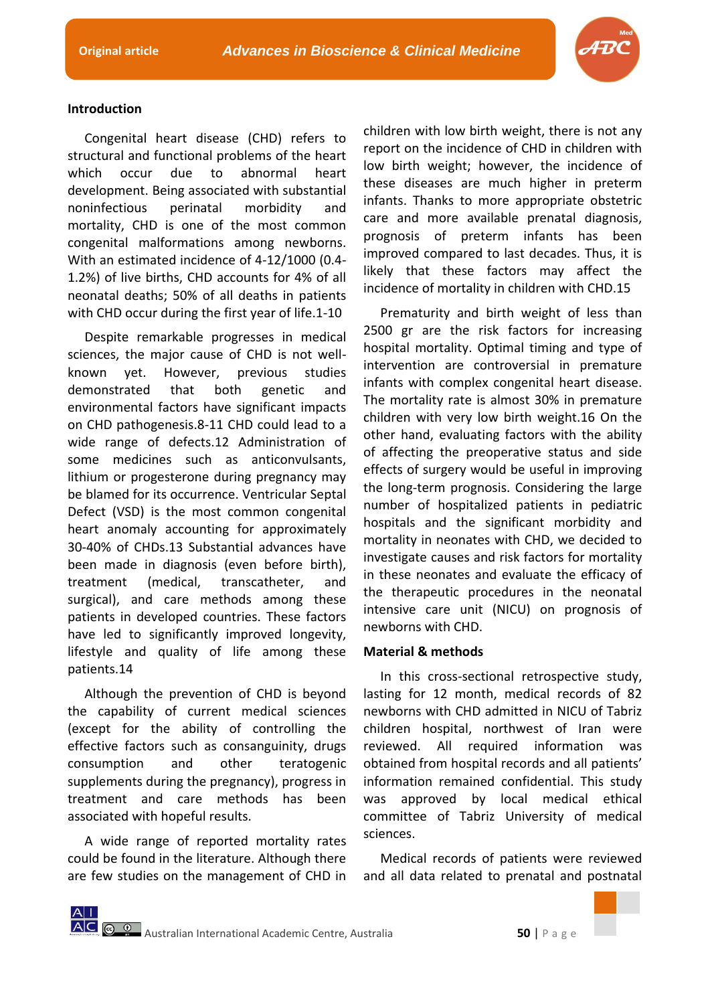

# **Introduction**

Congenital heart disease (CHD) refers to structural and functional problems of the heart which occur due to abnormal heart development. Being associated with substantial noninfectious perinatal morbidity and mortality, CHD is one of the most common congenital malformations among newborns. With an estimated incidence of 4-12/1000 (0.4- 1.2%) of live births, CHD accounts for 4% of all neonatal deaths; 50% of all deaths in patients with CHD occur during the first year of life.1-10

Despite remarkable progresses in medical sciences, the major cause of CHD is not wellknown yet. However, previous studies demonstrated that both genetic and environmental factors have significant impacts on CHD pathogenesis.8-11 CHD could lead to a wide range of defects.12 Administration of some medicines such as anticonvulsants, lithium or progesterone during pregnancy may be blamed for its occurrence. Ventricular Septal Defect (VSD) is the most common congenital heart anomaly accounting for approximately 30-40% of CHDs.13 Substantial advances have been made in diagnosis (even before birth), treatment (medical, transcatheter, and surgical), and care methods among these patients in developed countries. These factors have led to significantly improved longevity, lifestyle and quality of life among these patients.14

Although the prevention of CHD is beyond the capability of current medical sciences (except for the ability of controlling the effective factors such as consanguinity, drugs consumption and other teratogenic supplements during the pregnancy), progress in treatment and care methods has been associated with hopeful results.

A wide range of reported mortality rates could be found in the literature. Although there are few studies on the management of CHD in

children with low birth weight, there is not any report on the incidence of CHD in children with low birth weight; however, the incidence of these diseases are much higher in preterm infants. Thanks to more appropriate obstetric care and more available prenatal diagnosis, prognosis of preterm infants has been improved compared to last decades. Thus, it is likely that these factors may affect the incidence of mortality in children with CHD.15

Prematurity and birth weight of less than 2500 gr are the risk factors for increasing hospital mortality. Optimal timing and type of intervention are controversial in premature infants with complex congenital heart disease. The mortality rate is almost 30% in premature children with very low birth weight.16 On the other hand, evaluating factors with the ability of affecting the preoperative status and side effects of surgery would be useful in improving the long-term prognosis. Considering the large number of hospitalized patients in pediatric hospitals and the significant morbidity and mortality in neonates with CHD, we decided to investigate causes and risk factors for mortality in these neonates and evaluate the efficacy of the therapeutic procedures in the neonatal intensive care unit (NICU) on prognosis of newborns with CHD.

### **Material & methods**

In this cross-sectional retrospective study, lasting for 12 month, medical records of 82 newborns with CHD admitted in NICU of Tabriz children hospital, northwest of Iran were reviewed. All required information was obtained from hospital records and all patients' information remained confidential. This study was approved by local medical ethical committee of Tabriz University of medical sciences.

Medical records of patients were reviewed and all data related to prenatal and postnatal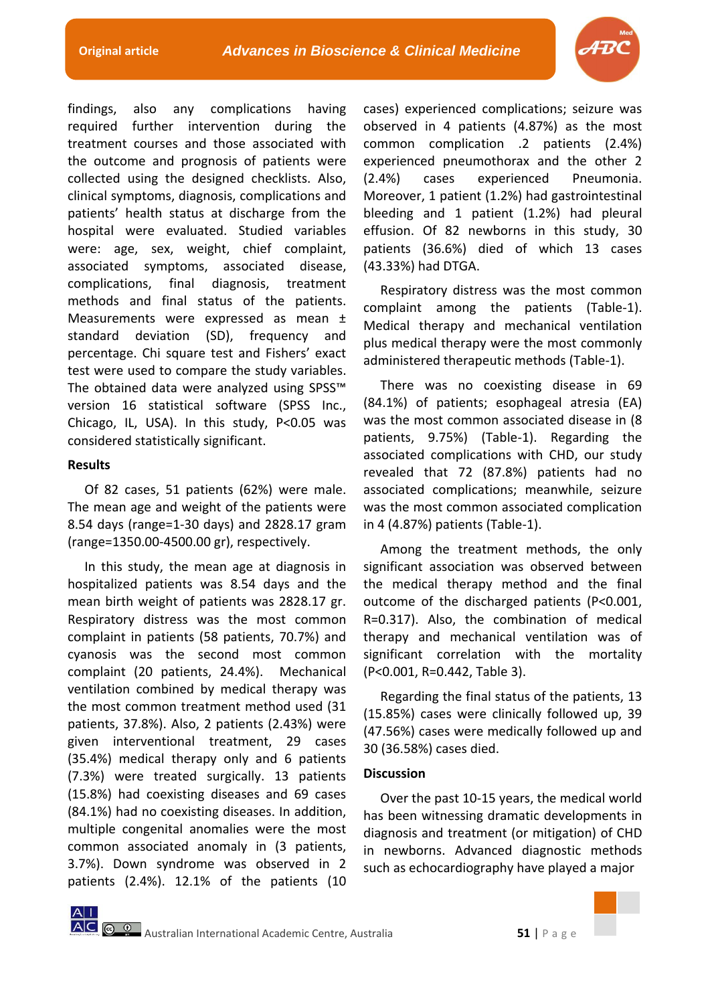

findings, also any complications having required further intervention during the treatment courses and those associated with the outcome and prognosis of patients were collected using the designed checklists. Also, clinical symptoms, diagnosis, complications and patients' health status at discharge from the hospital were evaluated. Studied variables were: age, sex, weight, chief complaint, associated symptoms, associated disease, complications, final diagnosis, treatment methods and final status of the patients. Measurements were expressed as mean ± standard deviation (SD), frequency and percentage. Chi square test and Fishers' exact test were used to compare the study variables. The obtained data were analyzed using SPSS™ version 16 statistical software (SPSS Inc., Chicago, IL, USA). In this study, P<0.05 was considered statistically significant.

## **Results**

Of 82 cases, 51 patients (62%) were male. The mean age and weight of the patients were 8.54 days (range=1-30 days) and 2828.17 gram (range=1350.00-4500.00 gr), respectively.

In this study, the mean age at diagnosis in hospitalized patients was 8.54 days and the mean birth weight of patients was 2828.17 gr. Respiratory distress was the most common complaint in patients (58 patients, 70.7%) and cyanosis was the second most common complaint (20 patients, 24.4%). Mechanical ventilation combined by medical therapy was the most common treatment method used (31 patients, 37.8%). Also, 2 patients (2.43%) were given interventional treatment, 29 cases (35.4%) medical therapy only and 6 patients (7.3%) were treated surgically. 13 patients (15.8%) had coexisting diseases and 69 cases (84.1%) had no coexisting diseases. In addition, multiple congenital anomalies were the most common associated anomaly in (3 patients, 3.7%). Down syndrome was observed in 2 patients (2.4%). 12.1% of the patients (10

cases) experienced complications; seizure was observed in 4 patients (4.87%) as the most common complication .2 patients (2.4%) experienced pneumothorax and the other 2 (2.4%) cases experienced Pneumonia. Moreover, 1 patient (1.2%) had gastrointestinal bleeding and 1 patient (1.2%) had pleural effusion. Of 82 newborns in this study, 30 patients (36.6%) died of which 13 cases (43.33%) had DTGA.

Respiratory distress was the most common complaint among the patients (Table-1). Medical therapy and mechanical ventilation plus medical therapy were the most commonly administered therapeutic methods (Table-1).

There was no coexisting disease in 69 (84.1%) of patients; esophageal atresia (EA) was the most common associated disease in (8 patients, 9.75%) (Table-1). Regarding the associated complications with CHD, our study revealed that 72 (87.8%) patients had no associated complications; meanwhile, seizure was the most common associated complication in 4 (4.87%) patients (Table-1).

Among the treatment methods, the only significant association was observed between the medical therapy method and the final outcome of the discharged patients (P<0.001, R=0.317). Also, the combination of medical therapy and mechanical ventilation was of significant correlation with the mortality (P<0.001, R=0.442, Table 3).

Regarding the final status of the patients, 13 (15.85%) cases were clinically followed up, 39 (47.56%) cases were medically followed up and 30 (36.58%) cases died.

### **Discussion**

Over the past 10-15 years, the medical world has been witnessing dramatic developments in diagnosis and treatment (or mitigation) of CHD in newborns. Advanced diagnostic methods such as echocardiography have played a major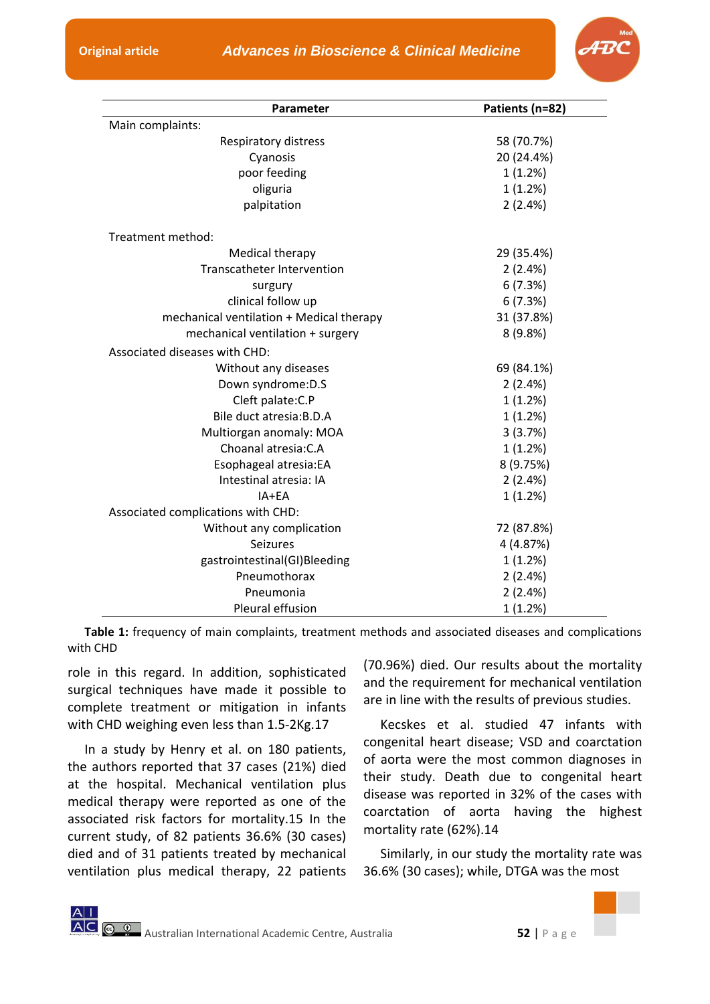

| Parameter                                | Patients (n=82) |
|------------------------------------------|-----------------|
| Main complaints:                         |                 |
| Respiratory distress                     | 58 (70.7%)      |
| Cyanosis                                 | 20 (24.4%)      |
| poor feeding                             | 1(1.2%)         |
| oliguria                                 | 1(1.2%)         |
| palpitation                              | 2(2.4%)         |
| Treatment method:                        |                 |
| Medical therapy                          | 29 (35.4%)      |
| <b>Transcatheter Intervention</b>        | 2(2.4%)         |
| surgury                                  | 6(7.3%)         |
| clinical follow up                       | 6(7.3%)         |
| mechanical ventilation + Medical therapy | 31 (37.8%)      |
| mechanical ventilation + surgery         | 8(9.8%)         |
| Associated diseases with CHD:            |                 |
| Without any diseases                     | 69 (84.1%)      |
| Down syndrome: D.S                       | 2(2.4%)         |
| Cleft palate: C.P                        | 1(1.2%)         |
| Bile duct atresia: B.D.A                 | 1(1.2%)         |
| Multiorgan anomaly: MOA                  | 3(3.7%)         |
| Choanal atresia: C.A                     | 1(1.2%)         |
| Esophageal atresia:EA                    | 8 (9.75%)       |
| Intestinal atresia: IA                   | 2(2.4%)         |
| IA+FA                                    | 1(1.2%)         |
| Associated complications with CHD:       |                 |
| Without any complication                 | 72 (87.8%)      |
| Seizures                                 | 4 (4.87%)       |
| gastrointestinal(GI)Bleeding             | 1(1.2%)         |
| Pneumothorax                             | 2(2.4%)         |
| Pneumonia                                | 2(2.4%)         |
| Pleural effusion                         | 1(1.2%)         |

**Table 1:** frequency of main complaints, treatment methods and associated diseases and complications with CHD

role in this regard. In addition, sophisticated surgical techniques have made it possible to complete treatment or mitigation in infants with CHD weighing even less than 1.5-2Kg.17

In a study by Henry et al. on 180 patients, the authors reported that 37 cases (21%) died at the hospital. Mechanical ventilation plus medical therapy were reported as one of the associated risk factors for mortality.15 In the current study, of 82 patients 36.6% (30 cases) died and of 31 patients treated by mechanical ventilation plus medical therapy, 22 patients (70.96%) died. Our results about the mortality and the requirement for mechanical ventilation are in line with the results of previous studies.

Kecskes et al. studied 47 infants with congenital heart disease; VSD and coarctation of aorta were the most common diagnoses in their study. Death due to congenital heart disease was reported in 32% of the cases with coarctation of aorta having the highest mortality rate (62%).14

Similarly, in our study the mortality rate was 36.6% (30 cases); while, DTGA was the most

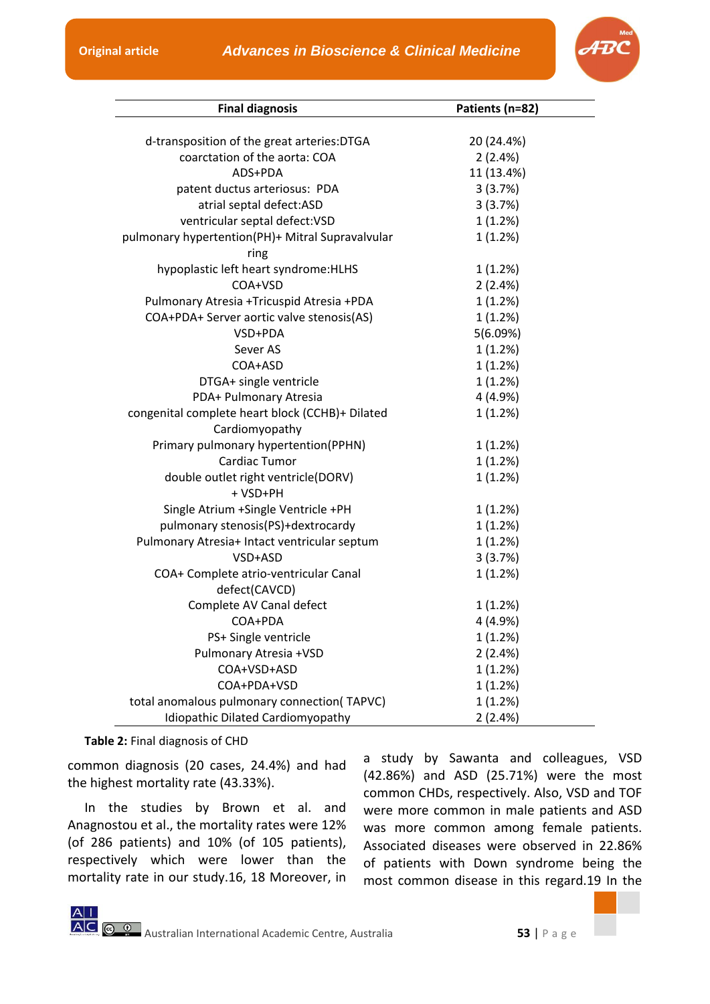

| <b>Final diagnosis</b>                           | Patients (n=82) |
|--------------------------------------------------|-----------------|
|                                                  |                 |
| d-transposition of the great arteries: DTGA      | 20 (24.4%)      |
| coarctation of the aorta: COA                    | 2(2.4%)         |
| ADS+PDA                                          | 11 (13.4%)      |
| patent ductus arteriosus: PDA                    | 3(3.7%)         |
| atrial septal defect:ASD                         | 3(3.7%)         |
| ventricular septal defect:VSD                    | 1(1.2%)         |
| pulmonary hypertention(PH)+ Mitral Supravalvular | 1(1.2%)         |
| ring                                             |                 |
| hypoplastic left heart syndrome: HLHS            | 1(1.2%)         |
| COA+VSD                                          | 2(2.4%)         |
| Pulmonary Atresia +Tricuspid Atresia +PDA        | 1(1.2%)         |
| COA+PDA+ Server aortic valve stenosis(AS)        | 1(1.2%)         |
| VSD+PDA                                          | 5(6.09%)        |
| Sever AS                                         | 1(1.2%)         |
| COA+ASD                                          | 1(1.2%)         |
| DTGA+ single ventricle                           | 1(1.2%)         |
| PDA+ Pulmonary Atresia                           | 4(4.9%)         |
| congenital complete heart block (CCHB)+ Dilated  | 1(1.2%)         |
| Cardiomyopathy                                   |                 |
| Primary pulmonary hypertention(PPHN)             | 1(1.2%)         |
| Cardiac Tumor                                    | 1(1.2%)         |
| double outlet right ventricle(DORV)              | 1(1.2%)         |
| + VSD+PH                                         |                 |
| Single Atrium +Single Ventricle +PH              | 1(1.2%)         |
| pulmonary stenosis(PS)+dextrocardy               | 1(1.2%)         |
| Pulmonary Atresia+ Intact ventricular septum     | 1(1.2%)         |
| VSD+ASD                                          | 3(3.7%)         |
| COA+ Complete atrio-ventricular Canal            | 1(1.2%)         |
| defect(CAVCD)                                    |                 |
| Complete AV Canal defect                         | 1(1.2%)         |
| COA+PDA                                          | 4 (4.9%)        |
| PS+ Single ventricle                             | 1(1.2%)         |
| Pulmonary Atresia +VSD                           | 2(2.4%)         |
| COA+VSD+ASD                                      | 1(1.2%)         |
| COA+PDA+VSD                                      | 1(1.2%)         |
| total anomalous pulmonary connection(TAPVC)      | 1(1.2%)         |
| Idiopathic Dilated Cardiomyopathy                | 2(2.4%)         |

**Table 2:** Final diagnosis of CHD

 $|A|$ 

common diagnosis (20 cases, 24.4%) and had the highest mortality rate (43.33%).

In the studies by Brown et al. and Anagnostou et al., the mortality rates were 12% (of 286 patients) and 10% (of 105 patients), respectively which were lower than the mortality rate in our study.16, 18 Moreover, in

a study by Sawanta and colleagues, VSD (42.86%) and ASD (25.71%) were the most common CHDs, respectively. Also, VSD and TOF were more common in male patients and ASD was more common among female patients. Associated diseases were observed in 22.86% of patients with Down syndrome being the most common disease in this regard.19 In the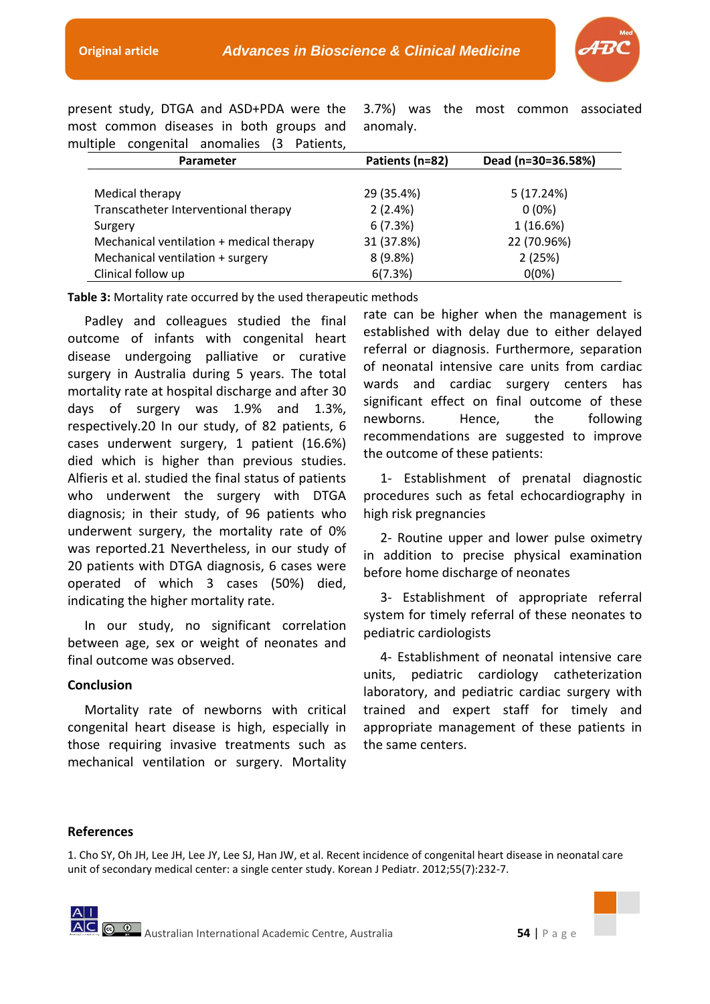

present study, DTGA and ASD+PDA were the most common diseases in both groups and multiple congenital anomalies (3 Patients,

3.7%) was the most common associated anomaly.

| Parameter                                | Patients (n=82) | Dead (n=30=36.58%) |
|------------------------------------------|-----------------|--------------------|
| Medical therapy                          | 29 (35.4%)      | 5(17.24%)          |
| Transcatheter Interventional therapy     | 2(2.4%)         | $0(0\%)$           |
| Surgery                                  | 6(7.3%)         | 1(16.6%)           |
| Mechanical ventilation + medical therapy | 31 (37.8%)      | 22 (70.96%)        |
| Mechanical ventilation + surgery         | 8(9.8%)         | 2(25%)             |
| Clinical follow up                       | 6(7.3%)         | $0(0\%)$           |

**Table 3:** Mortality rate occurred by the used therapeutic methods

Padley and colleagues studied the final outcome of infants with congenital heart disease undergoing palliative or curative surgery in Australia during 5 years. The total mortality rate at hospital discharge and after 30 days of surgery was 1.9% and 1.3%, respectively.20 In our study, of 82 patients, 6 cases underwent surgery, 1 patient (16.6%) died which is higher than previous studies. Alfieris et al. studied the final status of patients who underwent the surgery with DTGA diagnosis; in their study, of 96 patients who underwent surgery, the mortality rate of 0% was reported.21 Nevertheless, in our study of 20 patients with DTGA diagnosis, 6 cases were operated of which 3 cases (50%) died, indicating the higher mortality rate.

In our study, no significant correlation between age, sex or weight of neonates and final outcome was observed.

# **Conclusion**

Mortality rate of newborns with critical congenital heart disease is high, especially in those requiring invasive treatments such as mechanical ventilation or surgery. Mortality

rate can be higher when the management is established with delay due to either delayed referral or diagnosis. Furthermore, separation of neonatal intensive care units from cardiac wards and cardiac surgery centers has significant effect on final outcome of these newborns. Hence, the following recommendations are suggested to improve the outcome of these patients:

1- Establishment of prenatal diagnostic procedures such as fetal echocardiography in high risk pregnancies

2- Routine upper and lower pulse oximetry in addition to precise physical examination before home discharge of neonates

3- Establishment of appropriate referral system for timely referral of these neonates to pediatric cardiologists

4- Establishment of neonatal intensive care units, pediatric cardiology catheterization laboratory, and pediatric cardiac surgery with trained and expert staff for timely and appropriate management of these patients in the same centers.

### **References**

1. Cho SY, Oh JH, Lee JH, Lee JY, Lee SJ, Han JW, et al. Recent incidence of congenital heart disease in neonatal care unit of secondary medical center: a single center study. Korean J Pediatr. 2012;55(7):232-7.